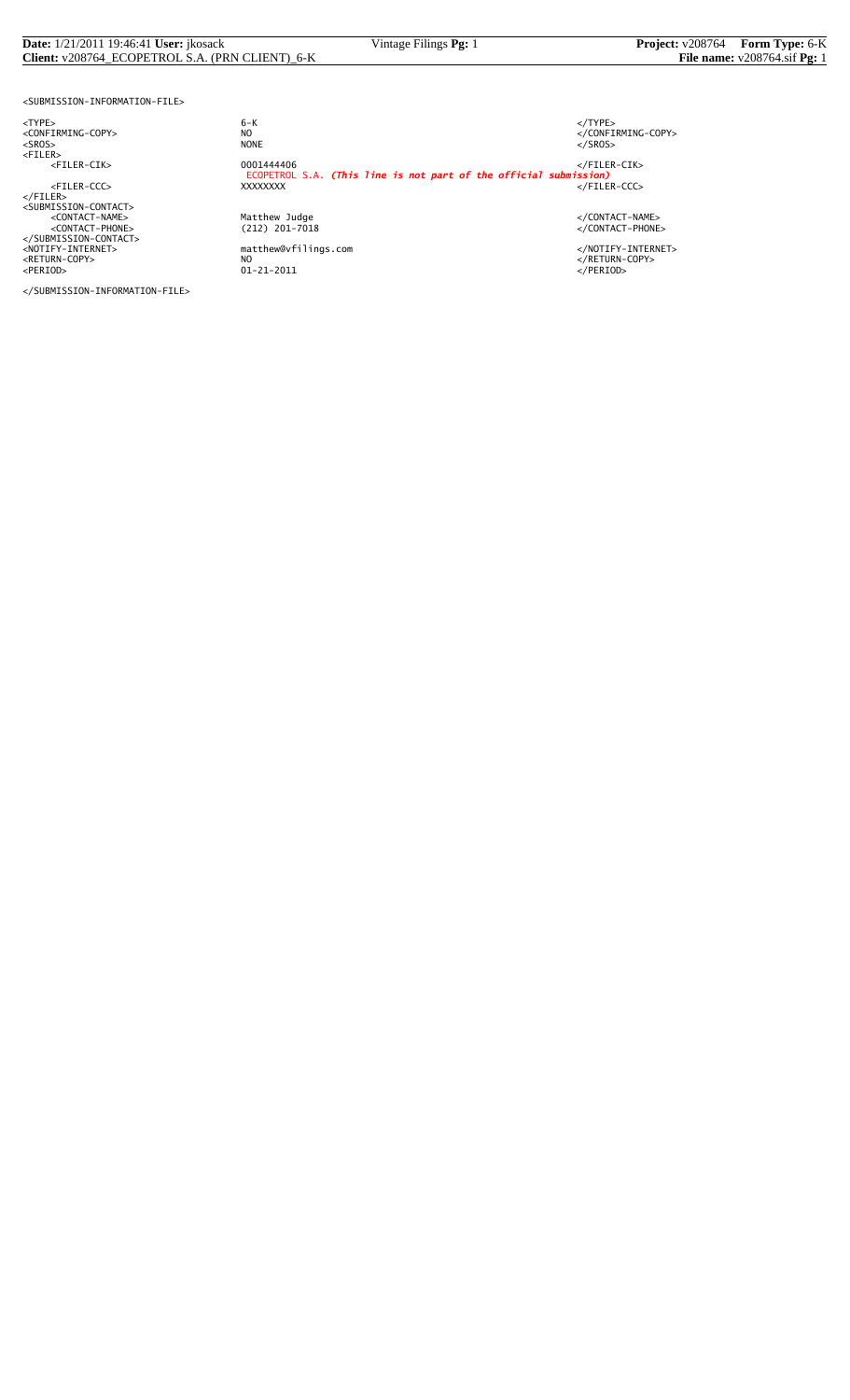### **Date:** 1/21/2011 19:46:41 **User:** jkosack Vintage Filings **Pg:** 1 **Project:** v208764 **Form Type:** 6-K **Client:** v208764\_ECOPETROL S.A. (PRN CLIENT)\_6-K **File name:** v208764.sif **Pg:** 1

<SUBMISSION-INFORMATION-FILE>

<NOTIFY-INTERNET> matthew@vfilings.com </NOTIFY-INTERNET> <RETURN-COPY> NO </RETURN-COPY> <PERIOD> 01-21-2011 </PERIOD>

</SUBMISSION-INFORMATION-FILE>

<TYPE> 6-K </TYPE> essence<br>
NO<br>
NO CONFIRMING-COPY><br>
NONE<br>
</SROS> <SROS> NONE </SROS> <FILER> <FILER-CIK> 0001444406 </FILER-CIK> ECOPETROL S.A. *(This line is not part of the official submission)* <FILER-CCC> XXXXXXXX </FILER-CCC> </FILER><br><SUBMISSION-CONTACT><br><CONTACT-NAME> </CONTACT-NAME></CONTACT-NAME><br><</CONTACT-PHONE></CONTACT-PHONE></CONTACT-PHONE><br></SUBMISSION-CONTACT>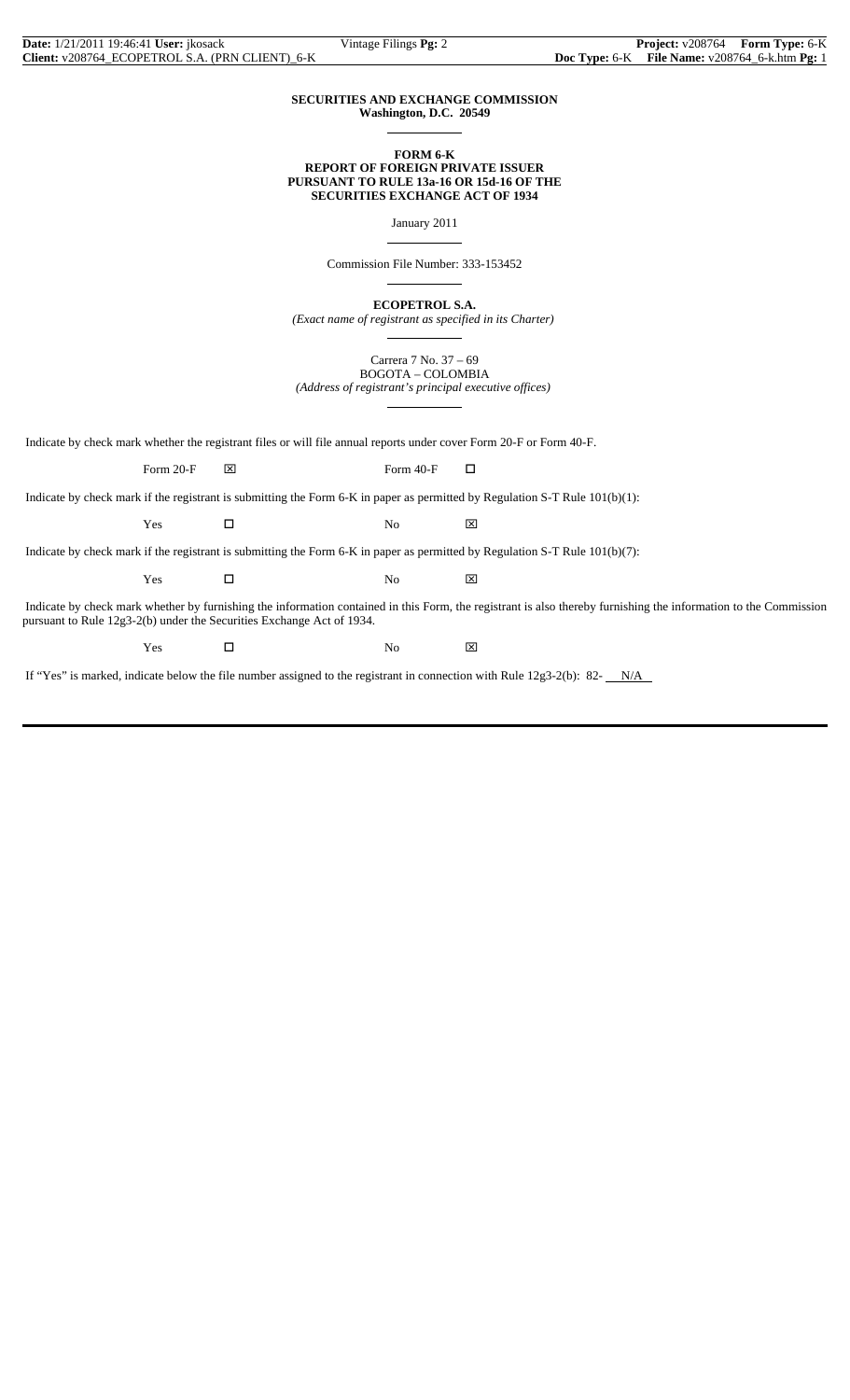### **SECURITIES AND EXCHANGE COMMISSION Washington, D.C. 20549**

 $\overline{a}$ 

 $\overline{a}$ 

 $\overline{a}$ 

 $\overline{a}$ 

 $\overline{a}$ 

### **FORM 6-K REPORT OF FOREIGN PRIVATE ISSUER PURSUANT TO RULE 13a-16 OR 15d-16 OF THE SECURITIES EXCHANGE ACT OF 1934**

January 2011

Commission File Number: 333-153452

**ECOPETROL S.A.**

*(Exact name of registrant as specified in its Charter)*

Carrera 7 No. 37 – 69 BOGOTA – COLOMBIA *(Address of registrant's principal executive offices)*

Indicate by check mark whether the registrant files or will file annual reports under cover Form 20-F or Form 40-F.

Form 20-F  $\boxtimes$  Form 40-F  $\Box$ 

Indicate by check mark if the registrant is submitting the Form 6-K in paper as permitted by Regulation S-T Rule 101(b)(1):

Yes □ No ⊠

Indicate by check mark if the registrant is submitting the Form 6-K in paper as permitted by Regulation S-T Rule 101(b)(7):

 $Yes$   $\Box$  No  $\boxtimes$ 

 Indicate by check mark whether by furnishing the information contained in this Form, the registrant is also thereby furnishing the information to the Commission pursuant to Rule 12g3-2(b) under the Securities Exchange Act of 1934.

 $Yes$   $\square$  No  $\boxtimes$ 

If "Yes" is marked, indicate below the file number assigned to the registrant in connection with Rule 12g3-2(b): 82- N/A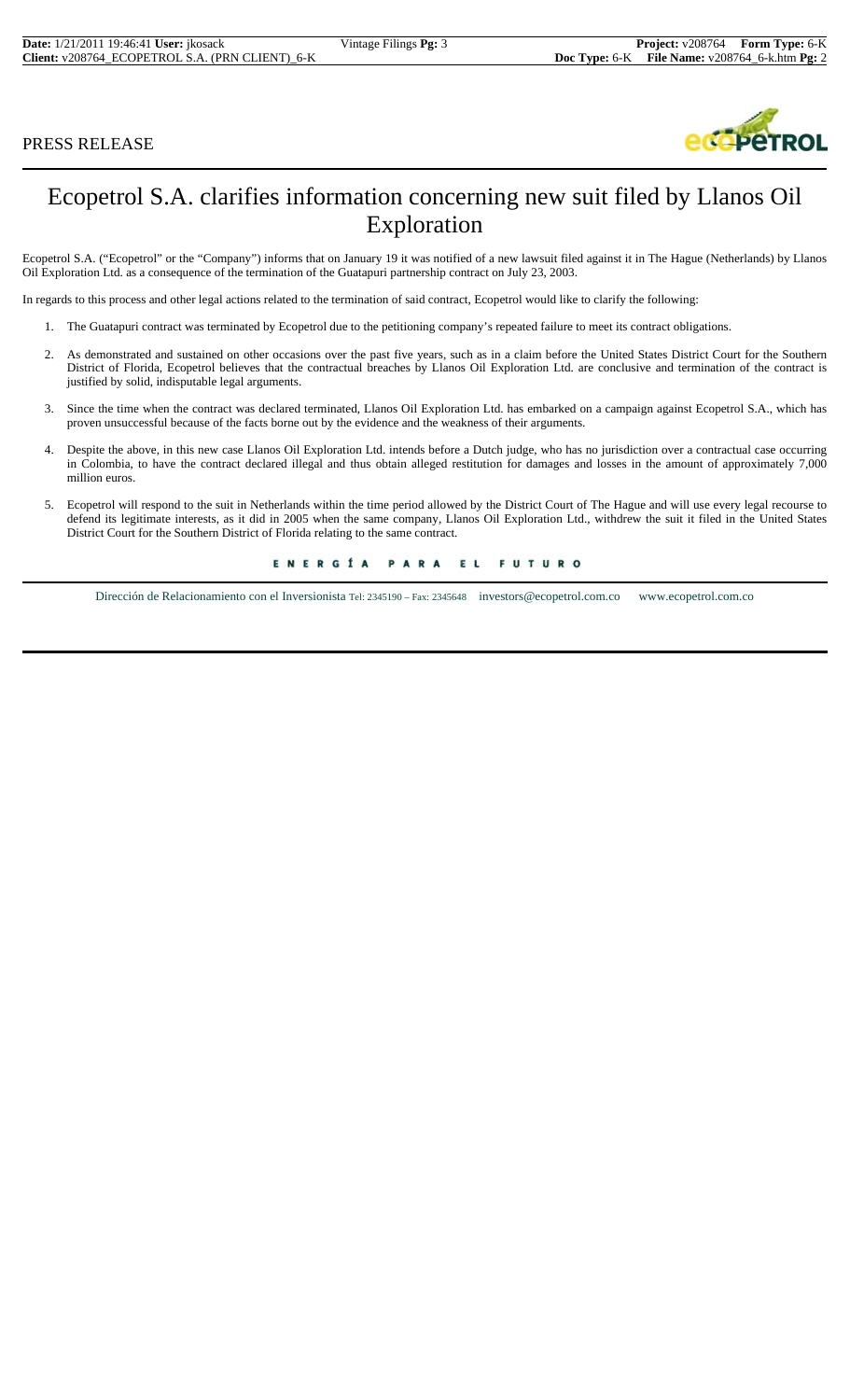## PRESS RELEASE



# Ecopetrol S.A. clarifies information concerning new suit filed by Llanos Oil Exploration

Ecopetrol S.A. ("Ecopetrol" or the "Company") informs that on January 19 it was notified of a new lawsuit filed against it in The Hague (Netherlands) by Llanos Oil Exploration Ltd. as a consequence of the termination of the Guatapuri partnership contract on July 23, 2003.

In regards to this process and other legal actions related to the termination of said contract, Ecopetrol would like to clarify the following:

- 1. The Guatapuri contract was terminated by Ecopetrol due to the petitioning company's repeated failure to meet its contract obligations.
- 2. As demonstrated and sustained on other occasions over the past five years, such as in a claim before the United States District Court for the Southern District of Florida, Ecopetrol believes that the contractual breaches by Llanos Oil Exploration Ltd. are conclusive and termination of the contract is justified by solid, indisputable legal arguments.
- 3. Since the time when the contract was declared terminated, Llanos Oil Exploration Ltd. has embarked on a campaign against Ecopetrol S.A., which has proven unsuccessful because of the facts borne out by the evidence and the weakness of their arguments.
- 4. Despite the above, in this new case Llanos Oil Exploration Ltd. intends before a Dutch judge, who has no jurisdiction over a contractual case occurring in Colombia, to have the contract declared illegal and thus obtain alleged restitution for damages and losses in the amount of approximately 7,000 million euros.
- 5. Ecopetrol will respond to the suit in Netherlands within the time period allowed by the District Court of The Hague and will use every legal recourse to defend its legitimate interests, as it did in 2005 when the same company, Llanos Oil Exploration Ltd., withdrew the suit it filed in the United States District Court for the Southern District of Florida relating to the same contract.

ENERGÍA PARA EL **FUTURO** 

Dirección de Relacionamiento con el Inversionista Tel: 2345190 – Fax: 2345648 investors@ecopetrol.com.co www.ecopetrol.com.co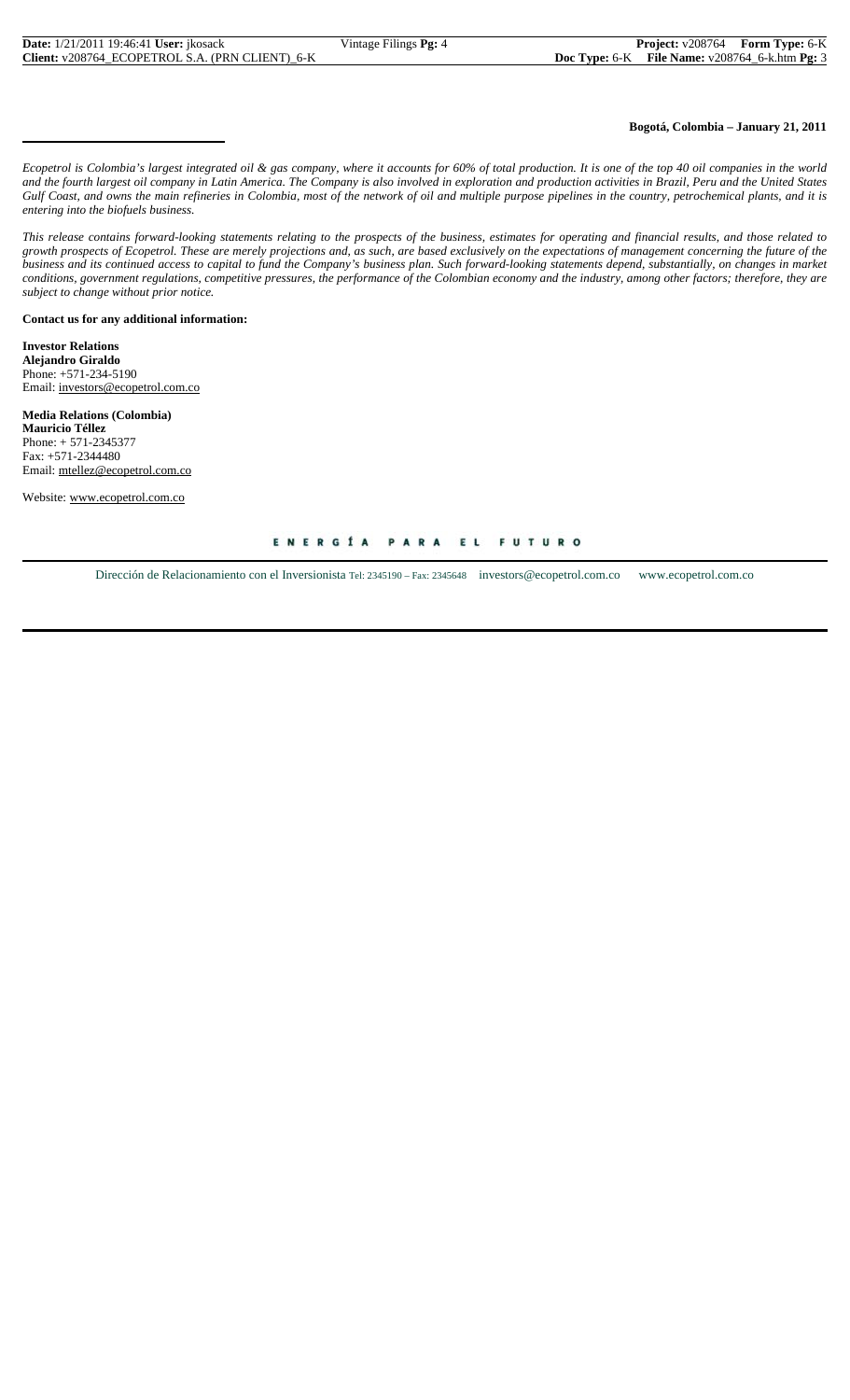### **Bogotá, Colombia – January 21, 2011**

*Ecopetrol is Colombia's largest integrated oil & gas company, where it accounts for 60% of total production. It is one of the top 40 oil companies in the world and the fourth largest oil company in Latin America. The Company is also involved in exploration and production activities in Brazil, Peru and the United States Gulf Coast, and owns the main refineries in Colombia, most of the network of oil and multiple purpose pipelines in the country, petrochemical plants, and it is entering into the biofuels business.*

*This release contains forward-looking statements relating to the prospects of the business, estimates for operating and financial results, and those related to growth prospects of Ecopetrol. These are merely projections and, as such, are based exclusively on the expectations of management concerning the future of the business and its continued access to capital to fund the Company's business plan. Such forward-looking statements depend, substantially, on changes in market conditions, government regulations, competitive pressures, the performance of the Colombian economy and the industry, among other factors; therefore, they are subject to change without prior notice.*

**Contact us for any additional information:**

**Investor Relations Alejandro Giraldo** Phone: +571-234-5190 Email: investors@ecopetrol.com.co

**Media Relations (Colombia) Mauricio Téllez** Phone: + 571-2345377 Fax: +571-2344480 Email: mtellez@ecopetrol.com.co

Website: www.ecopetrol.com.co

#### ENERGÍA PARA EL **FUTURO**

Dirección de Relacionamiento con el Inversionista Tel: 2345190 – Fax: 2345648 investors@ecopetrol.com.co www.ecopetrol.com.co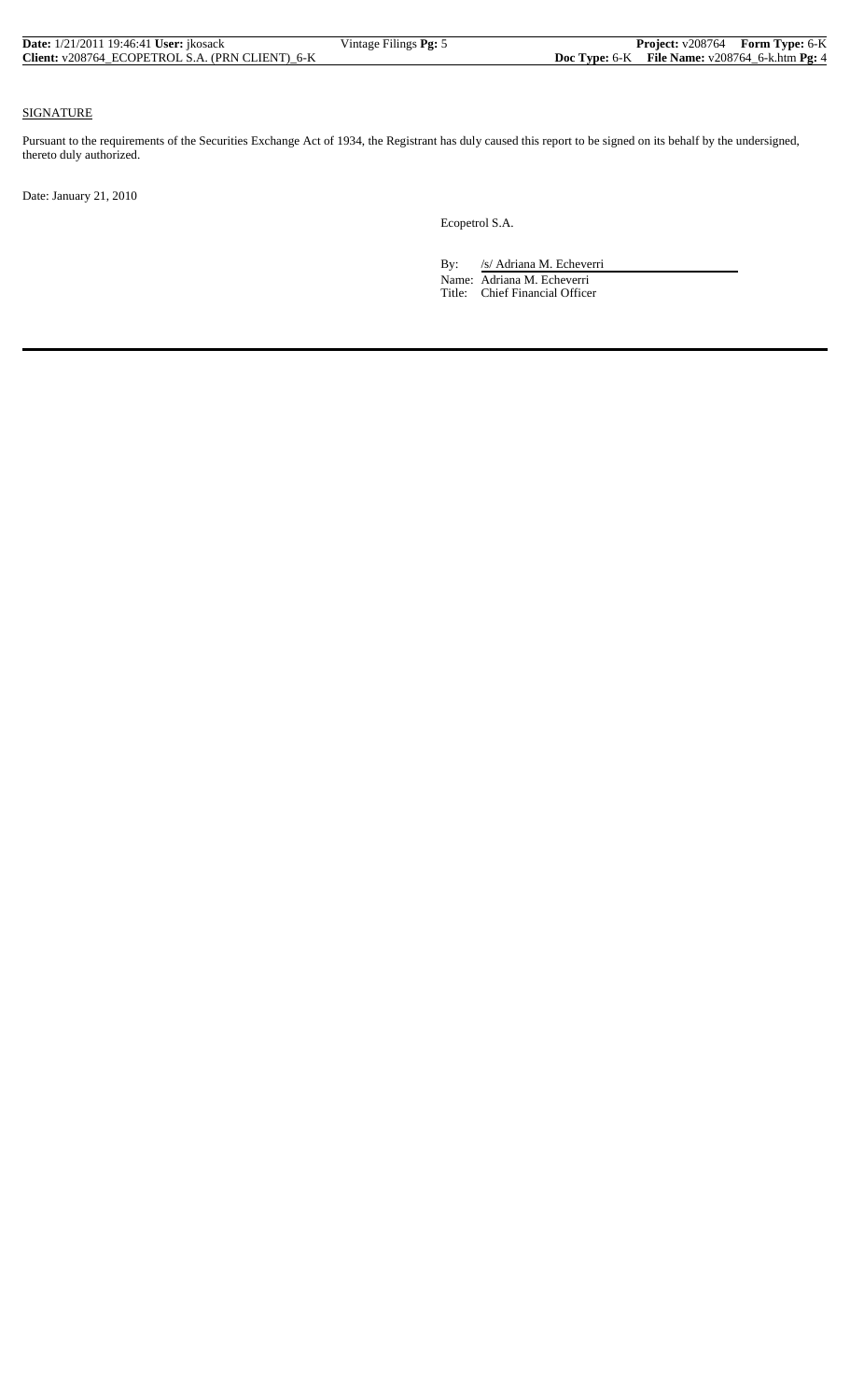| <b>Date:</b> 1/21/2011 19:46:41 <b>User:</b> ikosack | Vintage Filings Pg: 5 | Project: v208764 Form Type: 6-K                     |  |
|------------------------------------------------------|-----------------------|-----------------------------------------------------|--|
| Client: v208764 ECOPETROL S.A. (PRN CLIENT) 6-K      |                       | Doc Type: $6-K$ File Name: $v208764_6$ -k.htm Pg: 4 |  |

### SIGNATURE

Pursuant to the requirements of the Securities Exchange Act of 1934, the Registrant has duly caused this report to be signed on its behalf by the undersigned, thereto duly authorized.

Date: January 21, 2010

Ecopetrol S.A.

By: /s/ Adriana M. Echeverri

 Name: Adriana M. Echeverri Title: Chief Financial Officer